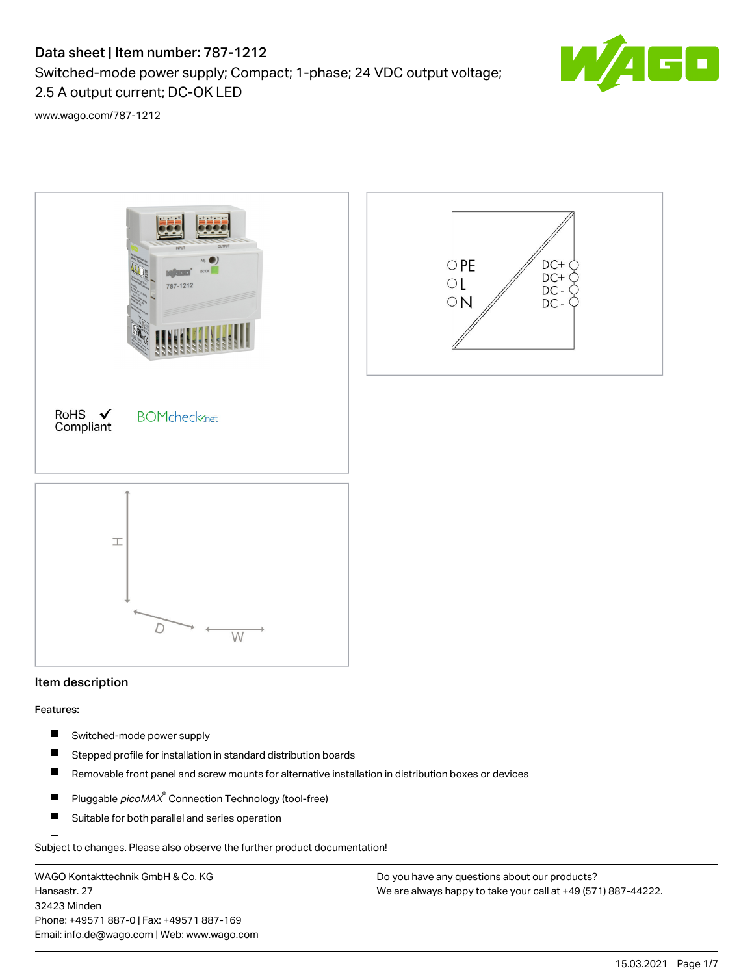# Data sheet | Item number: 787-1212

2.5 A output current; DC-OK LED

Switched-mode power supply; Compact; 1-phase; 24 VDC output voltage;

s۶

[www.wago.com/787-1212](http://www.wago.com/787-1212)



# Item description

#### Features:

- П Switched-mode power supply
- $\blacksquare$ Stepped profile for installation in standard distribution boards
- Removable front panel and screw mounts for alternative installation in distribution boxes or devices П
- $\blacksquare$ Pluggable *picoMAX*<sup>®</sup> Connection Technology (tool-free)
- $\blacksquare$ Suitable for both parallel and series operation

Subject to changes. Please also observe the further product documentation!

WAGO Kontakttechnik GmbH & Co. KG Hansastr. 27 32423 Minden Phone: +49571 887-0 | Fax: +49571 887-169 Email: info.de@wago.com | Web: www.wago.com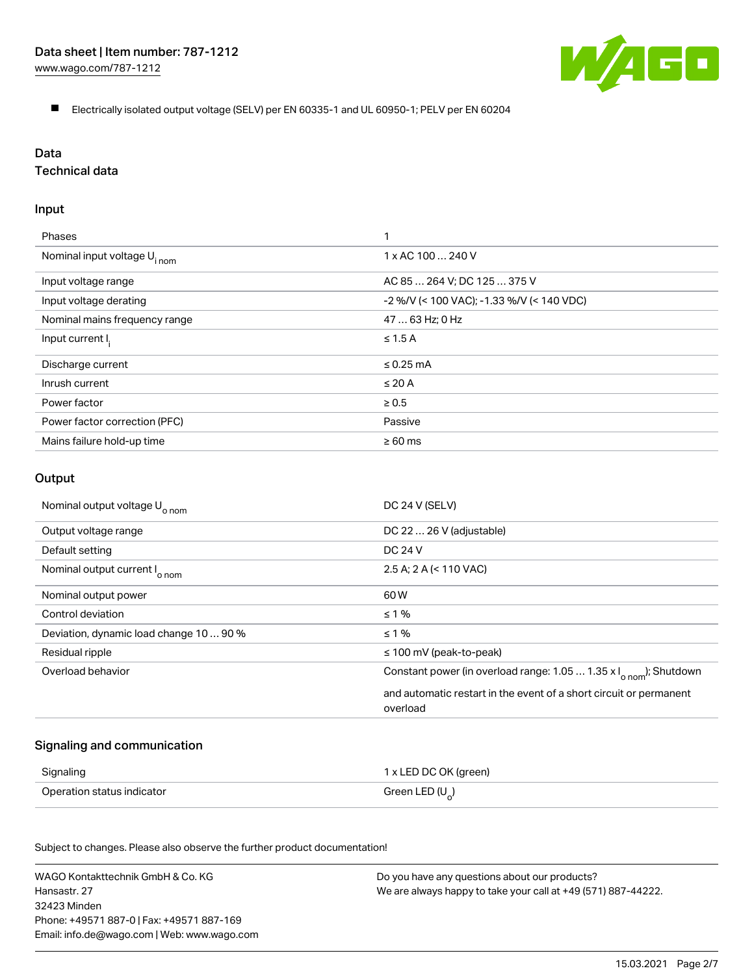

Electrically isolated output voltage (SELV) per EN 60335-1 and UL 60950-1; PELV per EN 60204

#### Data

# Technical data

#### Input

| Phases                                  |                                           |
|-----------------------------------------|-------------------------------------------|
| Nominal input voltage U <sub>inom</sub> | $1 \times AC$ 100 $\dots$ 240 V           |
| Input voltage range                     | AC 85  264 V: DC 125  375 V               |
| Input voltage derating                  | -2 %/V (< 100 VAC); -1.33 %/V (< 140 VDC) |
| Nominal mains frequency range           | 47  63 Hz; 0 Hz                           |
| Input current I.                        | $\leq 1.5$ A                              |
| Discharge current                       | $\leq$ 0.25 mA                            |
| Inrush current                          | $\leq 20$ A                               |
| Power factor                            | $\geq 0.5$                                |
| Power factor correction (PFC)           | Passive                                   |
| Mains failure hold-up time              | $\geq 60$ ms                              |

#### **Output**

| Nominal output voltage U <sub>o nom</sub> | DC 24 V (SELV)                                                                 |
|-------------------------------------------|--------------------------------------------------------------------------------|
| Output voltage range                      | DC 22  26 V (adjustable)                                                       |
| Default setting                           | DC 24 V                                                                        |
| Nominal output current I <sub>o nom</sub> | 2.5 A; 2 A (< 110 VAC)                                                         |
| Nominal output power                      | 60 W                                                                           |
| Control deviation                         | $\leq 1\%$                                                                     |
| Deviation, dynamic load change 10  90 %   | $\leq 1\%$                                                                     |
| Residual ripple                           | $\leq$ 100 mV (peak-to-peak)                                                   |
| Overload behavior                         | Constant power (in overload range: 1.05  1.35 x I <sub>onom</sub> ); Shutdown  |
|                                           | and automatic restart in the event of a short circuit or permanent<br>overload |

## Signaling and communication

| Signaling                  | 1 x LED DC OK (green) |
|----------------------------|-----------------------|
| Operation status indicator | Green LED $(U_2)$     |

Subject to changes. Please also observe the further product documentation!

WAGO Kontakttechnik GmbH & Co. KG Hansastr. 27 32423 Minden Phone: +49571 887-0 | Fax: +49571 887-169 Email: info.de@wago.com | Web: www.wago.com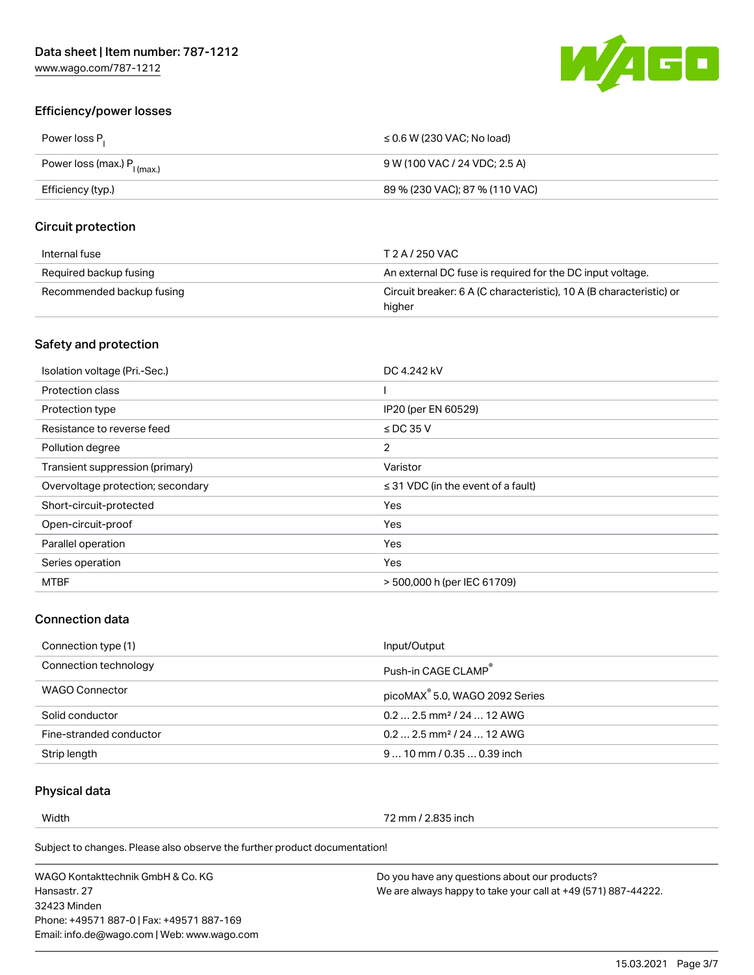

## Efficiency/power losses

| Power loss P <sub>1</sub>               | $\leq$ 0.6 W (230 VAC; No load) |
|-----------------------------------------|---------------------------------|
| Power loss (max.) P <sub>I (max.)</sub> | 9 W (100 VAC / 24 VDC; 2.5 A)   |
| Efficiency (typ.)                       | 89 % (230 VAC); 87 % (110 VAC)  |

#### Circuit protection

| Internal fuse             | T 2 A / 250 VAC                                                               |
|---------------------------|-------------------------------------------------------------------------------|
| Required backup fusing    | An external DC fuse is required for the DC input voltage.                     |
| Recommended backup fusing | Circuit breaker: 6 A (C characteristic), 10 A (B characteristic) or<br>higher |

## Safety and protection

| Isolation voltage (Pri.-Sec.)     | DC 4.242 kV                             |
|-----------------------------------|-----------------------------------------|
| Protection class                  |                                         |
| Protection type                   | IP20 (per EN 60529)                     |
| Resistance to reverse feed        | $\le$ DC 35 V                           |
| Pollution degree                  | 2                                       |
| Transient suppression (primary)   | Varistor                                |
| Overvoltage protection; secondary | $\leq$ 31 VDC (in the event of a fault) |
| Short-circuit-protected           | Yes                                     |
| Open-circuit-proof                | Yes                                     |
| Parallel operation                | Yes                                     |
| Series operation                  | Yes                                     |
| <b>MTBF</b>                       | > 500,000 h (per IEC 61709)             |

# Connection data

| Connection type (1)     | Input/Output                               |
|-------------------------|--------------------------------------------|
| Connection technology   | Push-in CAGE CLAMP <sup>®</sup>            |
| WAGO Connector          | picoMAX <sup>®</sup> 5.0, WAGO 2092 Series |
| Solid conductor         | $0.22.5$ mm <sup>2</sup> / 24  12 AWG      |
| Fine-stranded conductor | $0.22.5$ mm <sup>2</sup> / 24  12 AWG      |
| Strip length            | $910$ mm $/0.350.39$ inch                  |

#### Physical data

Width 72 mm / 2.835 inch

Subject to changes. Please also observe the further product documentation!

WAGO Kontakttechnik GmbH & Co. KG Hansastr. 27 32423 Minden Phone: +49571 887-0 | Fax: +49571 887-169 Email: info.de@wago.com | Web: www.wago.com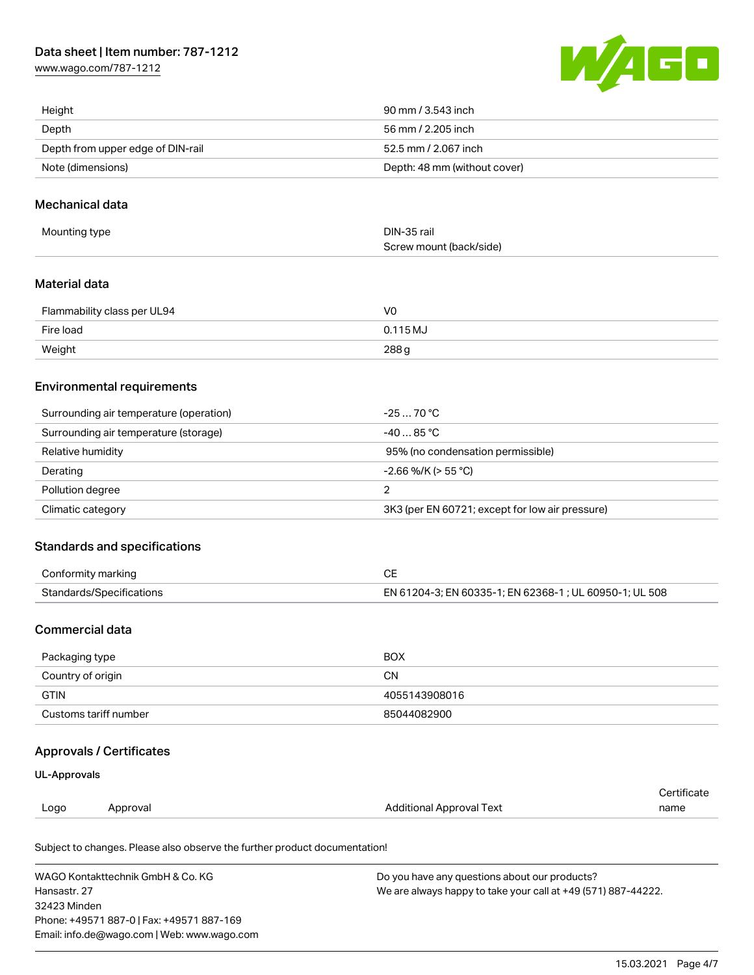# Data sheet | Item number: 787-1212

[www.wago.com/787-1212](http://www.wago.com/787-1212)



| Height                            | 90 mm / 3.543 inch           |
|-----------------------------------|------------------------------|
| Depth                             | 56 mm / 2.205 inch           |
| Depth from upper edge of DIN-rail | 52.5 mm / 2.067 inch         |
| Note (dimensions)                 | Depth: 48 mm (without cover) |

#### Mechanical data

| Mounting type | DIN-35 rail             |
|---------------|-------------------------|
|               | Screw mount (back/side) |

#### Material data

| Flammability class per UL94 | VC       |
|-----------------------------|----------|
| Fire load                   | 0.115 MJ |
| Weight                      | 288g     |

## Environmental requirements

| Surrounding air temperature (operation) | -25  70 °C.                                     |
|-----------------------------------------|-------------------------------------------------|
| Surrounding air temperature (storage)   | $-4085$ °C.                                     |
| Relative humidity                       | 95% (no condensation permissible)               |
| Derating                                | $-2.66$ %/K (> 55 °C)                           |
| Pollution degree                        |                                                 |
| Climatic category                       | 3K3 (per EN 60721; except for low air pressure) |

#### Standards and specifications

| Conformity marking       |                                                        |
|--------------------------|--------------------------------------------------------|
| Standards/Specifications | EN 61204-3; EN 60335-1; EN 62368-1; UL 60950-1; UL 508 |

## Commercial data

| Packaging type        | <b>BOX</b>    |
|-----------------------|---------------|
| Country of origin     | CΝ            |
| <b>GTIN</b>           | 4055143908016 |
| Customs tariff number | 85044082900   |

## Approvals / Certificates

#### UL-Approvals

|      |         |                                 | rtificate |
|------|---------|---------------------------------|-----------|
| Logo | horoval | <b>Additional Approval Text</b> | name      |
|      |         |                                 |           |

Subject to changes. Please also observe the further product documentation!

| WAGO Kontakttechnik GmbH & Co. KG           | Do you have any questions about our products?                 |
|---------------------------------------------|---------------------------------------------------------------|
| Hansastr. 27                                | We are always happy to take your call at +49 (571) 887-44222. |
| 32423 Minden                                |                                                               |
| Phone: +49571 887-01 Fax: +49571 887-169    |                                                               |
| Email: info.de@wago.com   Web: www.wago.com |                                                               |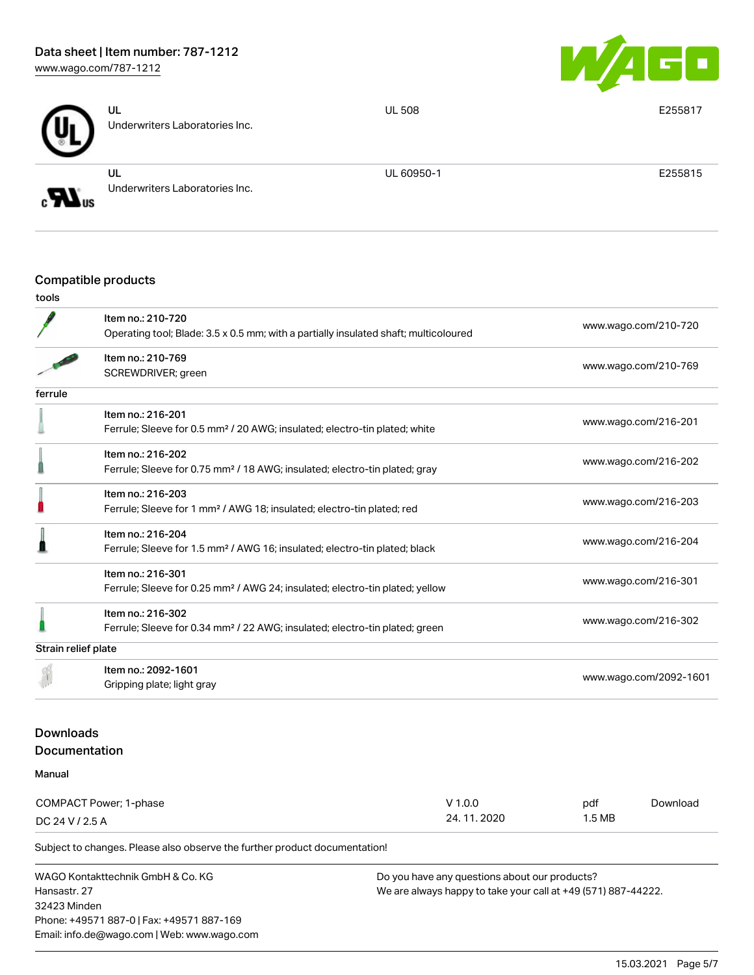

|                              | UL<br>Underwriters Laboratories Inc. | <b>UL 508</b> | E255817 |
|------------------------------|--------------------------------------|---------------|---------|
| $\boldsymbol{H}_{\text{us}}$ | UL<br>Underwriters Laboratories Inc. | UL 60950-1    | E255815 |

## Compatible products

|                  | Item no.: 210-720<br>Operating tool; Blade: 3.5 x 0.5 mm; with a partially insulated shaft; multicoloured |              |                      | www.wago.com/210-720   |  |
|------------------|-----------------------------------------------------------------------------------------------------------|--------------|----------------------|------------------------|--|
|                  |                                                                                                           |              |                      |                        |  |
|                  | Item no.: 210-769                                                                                         |              |                      | www.wago.com/210-769   |  |
|                  | SCREWDRIVER; green                                                                                        |              |                      |                        |  |
| ferrule          |                                                                                                           |              |                      |                        |  |
|                  | Item no.: 216-201                                                                                         |              |                      |                        |  |
|                  | Ferrule; Sleeve for 0.5 mm <sup>2</sup> / 20 AWG; insulated; electro-tin plated; white                    |              |                      | www.wago.com/216-201   |  |
|                  | Item no.: 216-202                                                                                         |              |                      |                        |  |
|                  | Ferrule; Sleeve for 0.75 mm <sup>2</sup> / 18 AWG; insulated; electro-tin plated; gray                    |              |                      | www.wago.com/216-202   |  |
|                  | Item no.: 216-203                                                                                         |              |                      |                        |  |
|                  | Ferrule; Sleeve for 1 mm <sup>2</sup> / AWG 18; insulated; electro-tin plated; red                        |              |                      | www.wago.com/216-203   |  |
|                  | Item no.: 216-204                                                                                         |              |                      |                        |  |
|                  | Ferrule; Sleeve for 1.5 mm <sup>2</sup> / AWG 16; insulated; electro-tin plated; black                    |              |                      | www.wago.com/216-204   |  |
|                  | Item no.: 216-301                                                                                         |              |                      | www.wago.com/216-301   |  |
|                  | Ferrule; Sleeve for 0.25 mm <sup>2</sup> / AWG 24; insulated; electro-tin plated; yellow                  |              |                      |                        |  |
|                  | Item no.: 216-302                                                                                         |              |                      |                        |  |
|                  | Ferrule; Sleeve for 0.34 mm <sup>2</sup> / 22 AWG; insulated; electro-tin plated; green                   |              | www.wago.com/216-302 |                        |  |
|                  | Strain relief plate                                                                                       |              |                      |                        |  |
|                  | Item no.: 2092-1601                                                                                       |              |                      |                        |  |
|                  | Gripping plate; light gray                                                                                |              |                      | www.wago.com/2092-1601 |  |
|                  |                                                                                                           |              |                      |                        |  |
| <b>Downloads</b> |                                                                                                           |              |                      |                        |  |
|                  | Documentation                                                                                             |              |                      |                        |  |
| Manual           |                                                                                                           |              |                      |                        |  |
|                  | COMPACT Power; 1-phase                                                                                    | $V$ 1.0.0    | pdf                  | Download               |  |
| DC 24 V / 2.5 A  |                                                                                                           | 24, 11, 2020 | 1.5MB                |                        |  |

Subject to changes. Please also observe the further product documentation!

WAGO Kontakttechnik GmbH & Co. KG Hansastr. 27 32423 Minden Phone: +49571 887-0 | Fax: +49571 887-169 Email: info.de@wago.com | Web: www.wago.com Do you have any questions about our products? We are always happy to take your call at +49 (571) 887-44222.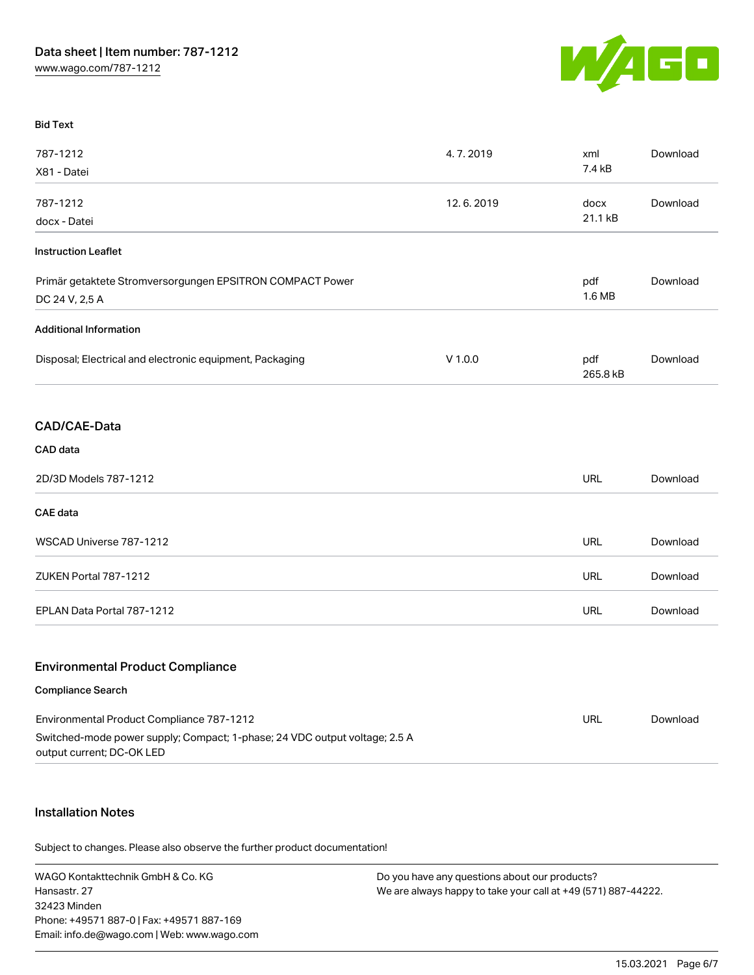

#### Bid Text

| 787-1212                                                                                                                                             | 4.7.2019  | xml             | Download |
|------------------------------------------------------------------------------------------------------------------------------------------------------|-----------|-----------------|----------|
| X81 - Datei                                                                                                                                          |           | 7.4 kB          |          |
| 787-1212                                                                                                                                             | 12.6.2019 | docx            | Download |
| docx - Datei                                                                                                                                         |           | 21.1 kB         |          |
| <b>Instruction Leaflet</b>                                                                                                                           |           |                 |          |
| Primär getaktete Stromversorgungen EPSITRON COMPACT Power<br>DC 24 V, 2,5 A                                                                          |           | pdf<br>1.6 MB   | Download |
| <b>Additional Information</b>                                                                                                                        |           |                 |          |
| Disposal; Electrical and electronic equipment, Packaging                                                                                             | $V$ 1.0.0 | pdf<br>265.8 kB | Download |
| CAD/CAE-Data                                                                                                                                         |           |                 |          |
| CAD data                                                                                                                                             |           |                 |          |
| 2D/3D Models 787-1212                                                                                                                                |           | <b>URL</b>      | Download |
| <b>CAE</b> data                                                                                                                                      |           |                 |          |
| WSCAD Universe 787-1212                                                                                                                              |           | <b>URL</b>      | Download |
| ZUKEN Portal 787-1212                                                                                                                                |           | <b>URL</b>      | Download |
| EPLAN Data Portal 787-1212                                                                                                                           |           | <b>URL</b>      | Download |
| <b>Environmental Product Compliance</b>                                                                                                              |           |                 |          |
| <b>Compliance Search</b>                                                                                                                             |           |                 |          |
| Environmental Product Compliance 787-1212<br>Switched-mode power supply; Compact; 1-phase; 24 VDC output voltage; 2.5 A<br>output current; DC-OK LED |           | <b>URL</b>      | Download |

#### Installation Notes

Subject to changes. Please also observe the further product documentation!

WAGO Kontakttechnik GmbH & Co. KG Hansastr. 27 32423 Minden Phone: +49571 887-0 | Fax: +49571 887-169 Email: info.de@wago.com | Web: www.wago.com